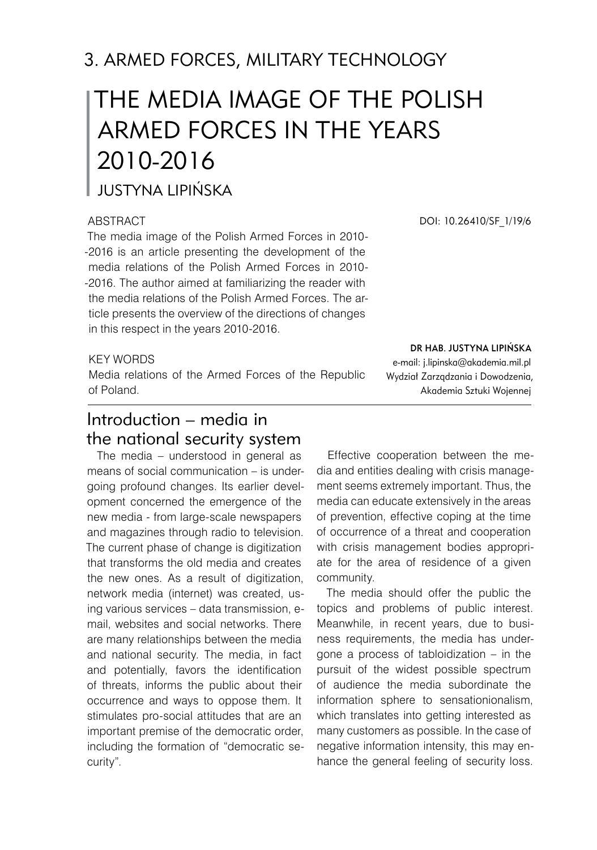# 3. ARMED FORCES, MILITARY TECHNOLOGY

# THE MEDIA IMAGE OF THE POLISH ARMED FORCES IN THE YEARS 2010-2016

## Justyna Lipińska

#### **ABSTRACT**

The media image of the Polish Armed Forces in 2010- -2016 is an article presenting the development of the media relations of the Polish Armed Forces in 2010- -2016. The author aimed at familiarizing the reader with the media relations of the Polish Armed Forces. The article presents the overview of the directions of changes in this respect in the years 2010-2016.

#### KEY WORDS

Media relations of the Armed Forces of the Republic of Poland.

## Introduction – media in the national security system

The media – understood in general as means of social communication – is undergoing profound changes. Its earlier development concerned the emergence of the new media - from large-scale newspapers and magazines through radio to television. The current phase of change is digitization that transforms the old media and creates the new ones. As a result of digitization, network media (internet) was created, using various services – data transmission, email, websites and social networks. There are many relationships between the media and national security. The media, in fact and potentially, favors the identification of threats, informs the public about their occurrence and ways to oppose them. It stimulates pro-social attitudes that are an important premise of the democratic order, including the formation of "democratic security".

DOI: 10.26410/SF\_1/19/6

dr hab. Justyna Lipińska

e-mail: j.lipinska@akademia.mil.pl Wydział Zarządzania i Dowodzenia, Akademia Sztuki Wojennej

Effective cooperation between the media and entities dealing with crisis management seems extremely important. Thus, the media can educate extensively in the areas of prevention, effective coping at the time of occurrence of a threat and cooperation with crisis management bodies appropriate for the area of residence of a given community.

The media should offer the public the topics and problems of public interest. Meanwhile, in recent years, due to business requirements, the media has undergone a process of tabloidization – in the pursuit of the widest possible spectrum of audience the media subordinate the information sphere to sensationionalism, which translates into getting interested as many customers as possible. In the case of negative information intensity, this may enhance the general feeling of security loss.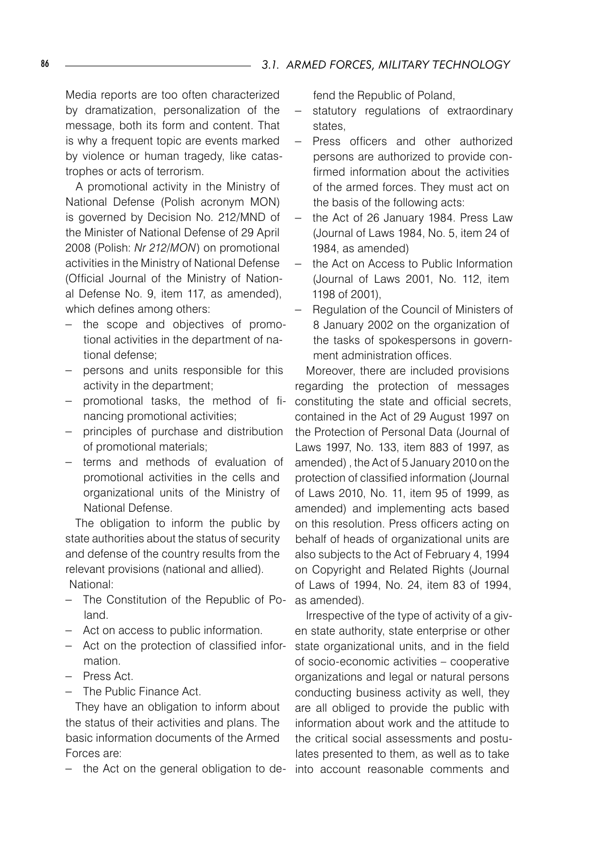Media reports are too often characterized by dramatization, personalization of the message, both its form and content. That is why a frequent topic are events marked by violence or human tragedy, like catastrophes or acts of terrorism.

A promotional activity in the Ministry of National Defense (Polish acronym MON) is governed by Decision No. 212/MND of the Minister of National Defense of 29 April 2008 (Polish: *Nr 212/MON*) on promotional activities in the Ministry of National Defense (Official Journal of the Ministry of National Defense No. 9, item 117, as amended), which defines among others:

- − the scope and objectives of promotional activities in the department of national defense;
- − persons and units responsible for this activity in the department;
- − promotional tasks, the method of fi-constituting the state and official secrets, nancing promotional activities;
- − principles of purchase and distribution of promotional materials;
- − terms and methods of evaluation of promotional activities in the cells and organizational units of the Ministry of National Defense.

The obligation to inform the public by state authorities about the status of security and defense of the country results from the relevant provisions (national and allied). National:

- − The Constitution of the Republic of Poland.
- − Act on access to public information.
- − Act on the protection of classified information.
- − Press Act.
- − The Public Finance Act.

They have an obligation to inform about the status of their activities and plans. The basic information documents of the Armed Forces are:

− the Act on the general obligation to de-into account reasonable comments and

fend the Republic of Poland,

- statutory regulations of extraordinary states,
- − Press officers and other authorized persons are authorized to provide confirmed information about the activities of the armed forces. They must act on the basis of the following acts:
- − the Act of 26 January 1984. Press Law (Journal of Laws 1984, No. 5, item 24 of 1984, as amended)
- − the Act on Access to Public Information (Journal of Laws 2001, No. 112, item 1198 of 2001),
- − Regulation of the Council of Ministers of 8 January 2002 on the organization of the tasks of spokespersons in government administration offices.

Moreover, there are included provisions regarding the protection of messages contained in the Act of 29 August 1997 on the Protection of Personal Data (Journal of Laws 1997, No. 133, item 883 of 1997, as amended) , the Act of 5 January 2010 on the protection of classified information (Journal of Laws 2010, No. 11, item 95 of 1999, as amended) and implementing acts based on this resolution. Press officers acting on behalf of heads of organizational units are also subjects to the Act of February 4, 1994 on Copyright and Related Rights (Journal of Laws of 1994, No. 24, item 83 of 1994, as amended).

Irrespective of the type of activity of a given state authority, state enterprise or other state organizational units, and in the field of socio-economic activities – cooperative organizations and legal or natural persons conducting business activity as well, they are all obliged to provide the public with information about work and the attitude to the critical social assessments and postulates presented to them, as well as to take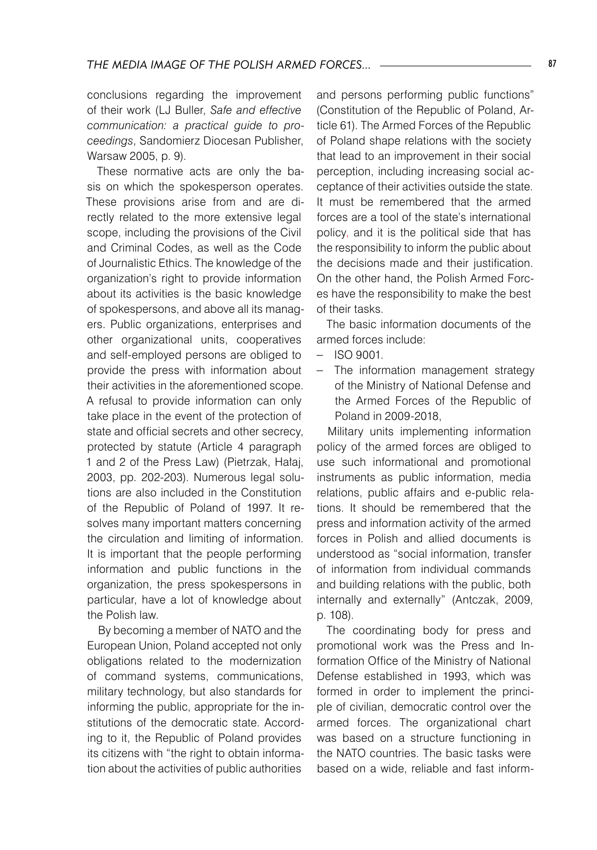conclusions regarding the improvement of their work (LJ Buller, *Safe and effective communication: a practical guide to proceedings*, Sandomierz Diocesan Publisher, Warsaw 2005, p. 9).

These normative acts are only the basis on which the spokesperson operates. These provisions arise from and are directly related to the more extensive legal scope, including the provisions of the Civil and Criminal Codes, as well as the Code of Journalistic Ethics. The knowledge of the organization's right to provide information about its activities is the basic knowledge of spokespersons, and above all its managers. Public organizations, enterprises and other organizational units, cooperatives and self-employed persons are obliged to provide the press with information about their activities in the aforementioned scope. A refusal to provide information can only take place in the event of the protection of state and official secrets and other secrecy, protected by statute (Article 4 paragraph 1 and 2 of the Press Law) (Pietrzak, Hałaj, 2003, pp. 202-203). Numerous legal solutions are also included in the Constitution of the Republic of Poland of 1997. It resolves many important matters concerning the circulation and limiting of information. It is important that the people performing information and public functions in the organization, the press spokespersons in particular, have a lot of knowledge about the Polish law.

By becoming a member of NATO and the European Union, Poland accepted not only obligations related to the modernization of command systems, communications, military technology, but also standards for informing the public, appropriate for the institutions of the democratic state. According to it, the Republic of Poland provides its citizens with "the right to obtain information about the activities of public authorities

and persons performing public functions" (Constitution of the Republic of Poland, Article 61). The Armed Forces of the Republic of Poland shape relations with the society that lead to an improvement in their social perception, including increasing social acceptance of their activities outside the state. It must be remembered that the armed forces are a tool of the state's international policy, and it is the political side that has the responsibility to inform the public about the decisions made and their justification. On the other hand, the Polish Armed Forces have the responsibility to make the best of their tasks.

The basic information documents of the armed forces include:

- − ISO 9001.
- The information management strategy of the Ministry of National Defense and the Armed Forces of the Republic of Poland in 2009-2018,

Military units implementing information policy of the armed forces are obliged to use such informational and promotional instruments as public information, media relations, public affairs and e-public relations. It should be remembered that the press and information activity of the armed forces in Polish and allied documents is understood as "social information, transfer of information from individual commands and building relations with the public, both internally and externally" (Antczak, 2009, p. 108).

The coordinating body for press and promotional work was the Press and Information Office of the Ministry of National Defense established in 1993, which was formed in order to implement the principle of civilian, democratic control over the armed forces. The organizational chart was based on a structure functioning in the NATO countries. The basic tasks were based on a wide, reliable and fast inform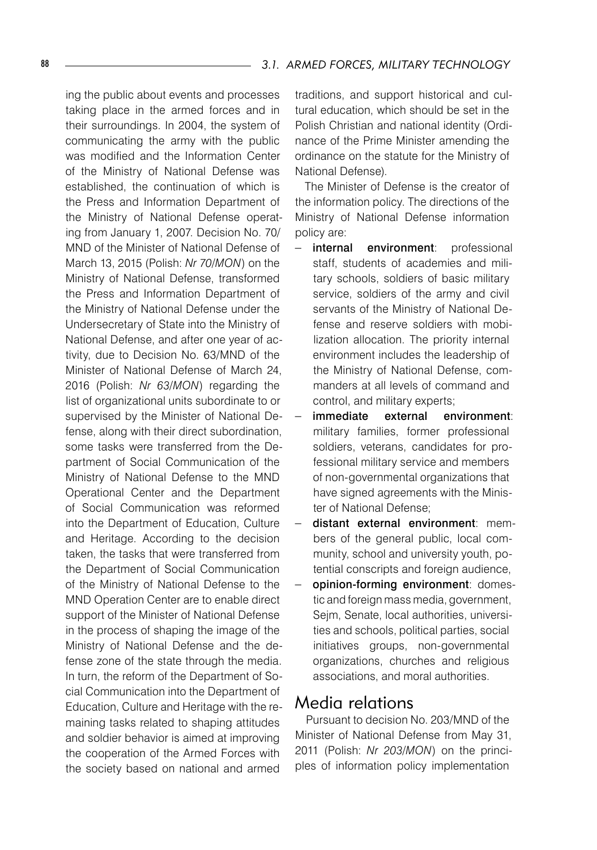ing the public about events and processes taking place in the armed forces and in their surroundings. In 2004, the system of communicating the army with the public was modified and the Information Center of the Ministry of National Defense was established, the continuation of which is the Press and Information Department of the Ministry of National Defense operating from January 1, 2007. Decision No. 70/ MND of the Minister of National Defense of March 13, 2015 (Polish: *Nr 70/MON*) on the Ministry of National Defense, transformed the Press and Information Department of the Ministry of National Defense under the Undersecretary of State into the Ministry of National Defense, and after one year of activity, due to Decision No. 63/MND of the Minister of National Defense of March 24, 2016 (Polish: *Nr 63/MON*) regarding the list of organizational units subordinate to or supervised by the Minister of National Defense, along with their direct subordination, some tasks were transferred from the Department of Social Communication of the Ministry of National Defense to the MND Operational Center and the Department of Social Communication was reformed into the Department of Education, Culture and Heritage. According to the decision taken, the tasks that were transferred from the Department of Social Communication of the Ministry of National Defense to the MND Operation Center are to enable direct support of the Minister of National Defense in the process of shaping the image of the Ministry of National Defense and the defense zone of the state through the media. In turn, the reform of the Department of Social Communication into the Department of Education, Culture and Heritage with the remaining tasks related to shaping attitudes and soldier behavior is aimed at improving the cooperation of the Armed Forces with the society based on national and armed

traditions, and support historical and cultural education, which should be set in the Polish Christian and national identity (Ordinance of the Prime Minister amending the ordinance on the statute for the Ministry of National Defense).

The Minister of Defense is the creator of the information policy. The directions of the Ministry of National Defense information policy are:

- − internal environment: professional staff, students of academies and military schools, soldiers of basic military service, soldiers of the army and civil servants of the Ministry of National Defense and reserve soldiers with mobilization allocation. The priority internal environment includes the leadership of the Ministry of National Defense, commanders at all levels of command and control, and military experts;
- immediate external environment: military families, former professional soldiers, veterans, candidates for professional military service and members of non-governmental organizations that have signed agreements with the Minister of National Defense;
- − distant external environment: members of the general public, local community, school and university youth, potential conscripts and foreign audience,
- opinion-forming environment: domestic and foreign mass media, government, Sejm, Senate, local authorities, universities and schools, political parties, social initiatives groups, non-governmental organizations, churches and religious associations, and moral authorities.

### Media relations

Pursuant to decision No. 203/MND of the Minister of National Defense from May 31, 2011 (Polish: *Nr 203/MON*) on the principles of information policy implementation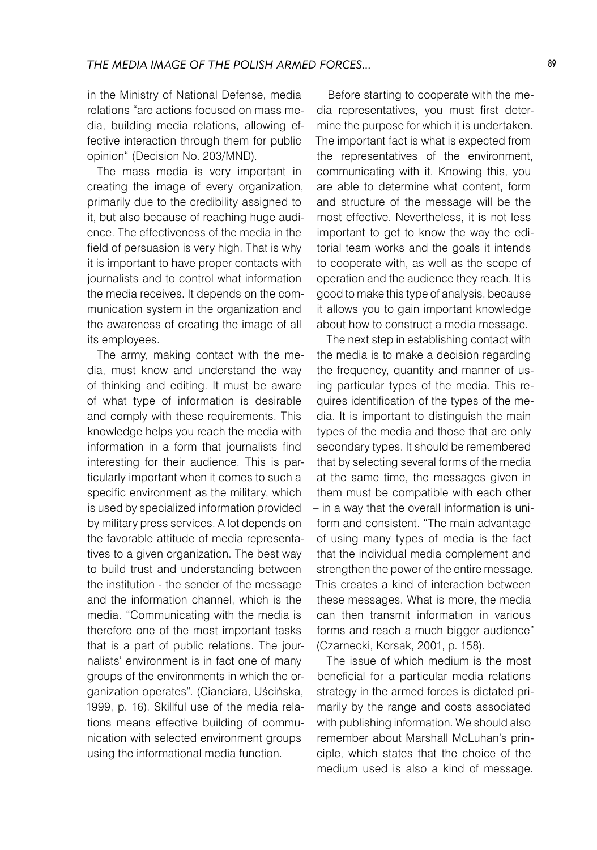in the Ministry of National Defense, media relations "are actions focused on mass media, building media relations, allowing effective interaction through them for public opinion" (Decision No. 203/MND).

The mass media is very important in creating the image of every organization, primarily due to the credibility assigned to it, but also because of reaching huge audience. The effectiveness of the media in the field of persuasion is very high. That is why it is important to have proper contacts with journalists and to control what information the media receives. It depends on the communication system in the organization and the awareness of creating the image of all its employees.

The army, making contact with the media, must know and understand the way of thinking and editing. It must be aware of what type of information is desirable and comply with these requirements. This knowledge helps you reach the media with information in a form that journalists find interesting for their audience. This is particularly important when it comes to such a specific environment as the military, which is used by specialized information provided by military press services. A lot depends on the favorable attitude of media representatives to a given organization. The best way to build trust and understanding between the institution - the sender of the message and the information channel, which is the media. "Communicating with the media is therefore one of the most important tasks that is a part of public relations. The journalists' environment is in fact one of many groups of the environments in which the organization operates". (Cianciara, Uścińska, 1999, p. 16). Skillful use of the media relations means effective building of communication with selected environment groups using the informational media function.

Before starting to cooperate with the media representatives, you must first determine the purpose for which it is undertaken. The important fact is what is expected from the representatives of the environment, communicating with it. Knowing this, you are able to determine what content, form and structure of the message will be the most effective. Nevertheless, it is not less important to get to know the way the editorial team works and the goals it intends to cooperate with, as well as the scope of operation and the audience they reach. It is good to make this type of analysis, because it allows you to gain important knowledge about how to construct a media message.

The next step in establishing contact with the media is to make a decision regarding the frequency, quantity and manner of using particular types of the media. This requires identification of the types of the media. It is important to distinguish the main types of the media and those that are only secondary types. It should be remembered that by selecting several forms of the media at the same time, the messages given in them must be compatible with each other – in a way that the overall information is uniform and consistent. "The main advantage of using many types of media is the fact that the individual media complement and strengthen the power of the entire message. This creates a kind of interaction between these messages. What is more, the media can then transmit information in various forms and reach a much bigger audience" (Czarnecki, Korsak, 2001, p. 158).

The issue of which medium is the most beneficial for a particular media relations strategy in the armed forces is dictated primarily by the range and costs associated with publishing information. We should also remember about Marshall McLuhan's principle, which states that the choice of the medium used is also a kind of message.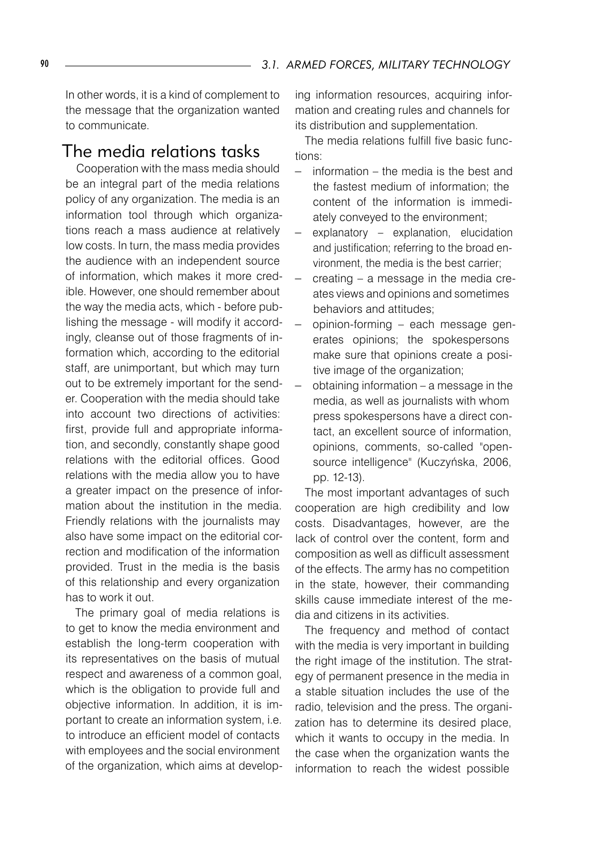In other words, it is a kind of complement to the message that the organization wanted to communicate.

#### The media relations tasks

Cooperation with the mass media should be an integral part of the media relations policy of any organization. The media is an information tool through which organizations reach a mass audience at relatively low costs. In turn, the mass media provides the audience with an independent source of information, which makes it more credible. However, one should remember about the way the media acts, which - before publishing the message - will modify it accordingly, cleanse out of those fragments of information which, according to the editorial staff, are unimportant, but which may turn out to be extremely important for the sender. Cooperation with the media should take into account two directions of activities: first, provide full and appropriate information, and secondly, constantly shape good relations with the editorial offices. Good relations with the media allow you to have a greater impact on the presence of information about the institution in the media. Friendly relations with the journalists may also have some impact on the editorial correction and modification of the information provided. Trust in the media is the basis of this relationship and every organization has to work it out.

The primary goal of media relations is to get to know the media environment and establish the long-term cooperation with its representatives on the basis of mutual respect and awareness of a common goal, which is the obligation to provide full and objective information. In addition, it is important to create an information system, i.e. to introduce an efficient model of contacts with employees and the social environment of the organization, which aims at developing information resources, acquiring information and creating rules and channels for its distribution and supplementation.

The media relations fulfill five basic functions:

- − information the media is the best and the fastest medium of information; the content of the information is immediately conveyed to the environment;
- explanatory explanation, elucidation and justification; referring to the broad environment, the media is the best carrier;
- creating a message in the media creates views and opinions and sometimes behaviors and attitudes;
- − opinion-forming each message generates opinions; the spokespersons make sure that opinions create a positive image of the organization:
- obtaining information a message in the media, as well as journalists with whom press spokespersons have a direct contact, an excellent source of information, opinions, comments, so-called "opensource intelligence" (Kuczyńska, 2006, pp. 12-13).

The most important advantages of such cooperation are high credibility and low costs. Disadvantages, however, are the lack of control over the content, form and composition as well as difficult assessment of the effects. The army has no competition in the state, however, their commanding skills cause immediate interest of the media and citizens in its activities.

The frequency and method of contact with the media is very important in building the right image of the institution. The strategy of permanent presence in the media in a stable situation includes the use of the radio, television and the press. The organization has to determine its desired place, which it wants to occupy in the media. In the case when the organization wants the information to reach the widest possible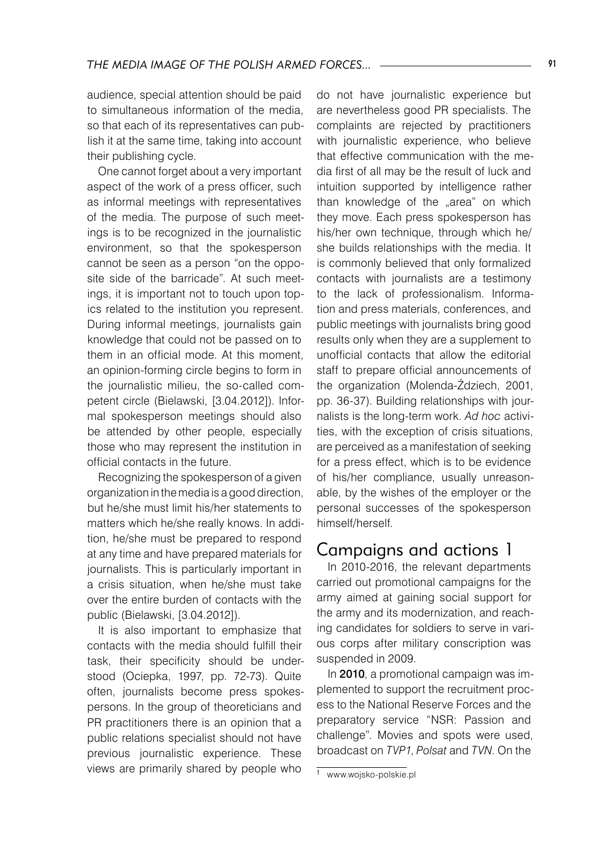audience, special attention should be paid to simultaneous information of the media, so that each of its representatives can publish it at the same time, taking into account their publishing cycle.

One cannot forget about a very important aspect of the work of a press officer, such as informal meetings with representatives of the media. The purpose of such meetings is to be recognized in the journalistic environment, so that the spokesperson cannot be seen as a person "on the opposite side of the barricade". At such meetings, it is important not to touch upon topics related to the institution you represent. During informal meetings, journalists gain knowledge that could not be passed on to them in an official mode. At this moment, an opinion-forming circle begins to form in the journalistic milieu, the so-called competent circle (Bielawski, [3.04.2012]). Informal spokesperson meetings should also be attended by other people, especially those who may represent the institution in official contacts in the future.

Recognizing the spokesperson of a given organization in the media is a good direction, but he/she must limit his/her statements to matters which he/she really knows. In addition, he/she must be prepared to respond at any time and have prepared materials for journalists. This is particularly important in a crisis situation, when he/she must take over the entire burden of contacts with the public (Bielawski, [3.04.2012]).

It is also important to emphasize that contacts with the media should fulfill their task, their specificity should be understood (Ociepka, 1997, pp. 72-73). Quite often, journalists become press spokespersons. In the group of theoreticians and PR practitioners there is an opinion that a public relations specialist should not have previous journalistic experience. These views are primarily shared by people who

do not have journalistic experience but are nevertheless good PR specialists. The complaints are rejected by practitioners with journalistic experience, who believe that effective communication with the media first of all may be the result of luck and intuition supported by intelligence rather than knowledge of the "area" on which they move. Each press spokesperson has his/her own technique, through which he/ she builds relationships with the media. It is commonly believed that only formalized contacts with journalists are a testimony to the lack of professionalism. Information and press materials, conferences, and public meetings with journalists bring good results only when they are a supplement to unofficial contacts that allow the editorial staff to prepare official announcements of the organization (Molenda-Ździech, 2001, pp. 36-37). Building relationships with journalists is the long-term work. *Ad hoc* activities, with the exception of crisis situations, are perceived as a manifestation of seeking for a press effect, which is to be evidence of his/her compliance, usually unreasonable, by the wishes of the employer or the personal successes of the spokesperson himself/herself.

## Campaigns and actions 1

In 2010-2016, the relevant departments carried out promotional campaigns for the army aimed at gaining social support for the army and its modernization, and reaching candidates for soldiers to serve in various corps after military conscription was suspended in 2009.

In 2010, a promotional campaign was implemented to support the recruitment process to the National Reserve Forces and the preparatory service "NSR: Passion and challenge". Movies and spots were used, broadcast on *TVP1*, *Polsat* and *TVN*. On the

www.wojsko-polskie.pl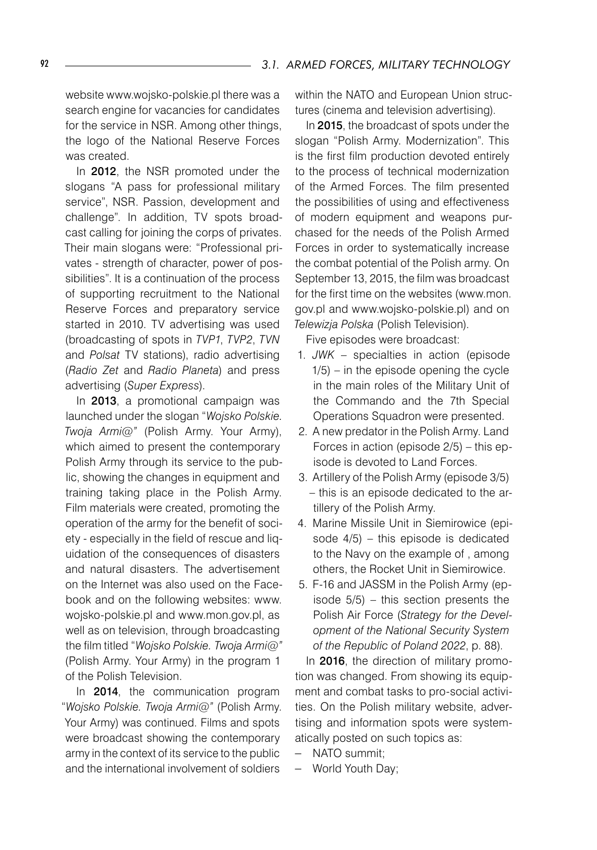website www.wojsko-polskie.pl there was a search engine for vacancies for candidates for the service in NSR. Among other things, the logo of the National Reserve Forces was created.

In 2012, the NSR promoted under the slogans "A pass for professional military service", NSR. Passion, development and challenge". In addition, TV spots broadcast calling for joining the corps of privates. Their main slogans were: "Professional privates - strength of character, power of possibilities". It is a continuation of the process of supporting recruitment to the National Reserve Forces and preparatory service started in 2010. TV advertising was used (broadcasting of spots in *TVP1*, *TVP2*, *TVN* and *Polsat* TV stations), radio advertising (*Radio Zet* and *Radio Planeta*) and press advertising (*Super Express*).

In 2013, a promotional campaign was launched under the slogan "*Wojsko Polskie. Twoja Armi@"* (Polish Army. Your Army), which aimed to present the contemporary Polish Army through its service to the public, showing the changes in equipment and training taking place in the Polish Army. Film materials were created, promoting the operation of the army for the benefit of society - especially in the field of rescue and liquidation of the consequences of disasters and natural disasters. The advertisement on the Internet was also used on the Facebook and on the following websites: www. wojsko-polskie.pl and www.mon.gov.pl, as well as on television, through broadcasting the film titled "*Wojsko Polskie. Twoja Armi@"*  (Polish Army. Your Army) in the program 1 of the Polish Television.

In 2014, the communication program "*Wojsko Polskie. Twoja Armi@"* (Polish Army. Your Army) was continued. Films and spots were broadcast showing the contemporary army in the context of its service to the public and the international involvement of soldiers

within the NATO and European Union structures (cinema and television advertising).

In 2015, the broadcast of spots under the slogan "Polish Army. Modernization". This is the first film production devoted entirely to the process of technical modernization of the Armed Forces. The film presented the possibilities of using and effectiveness of modern equipment and weapons purchased for the needs of the Polish Armed Forces in order to systematically increase the combat potential of the Polish army. On September 13, 2015, the film was broadcast for the first time on the websites (www.mon. gov.pl and www.wojsko-polskie.pl) and on *Telewizja Polska* (Polish Television).

Five episodes were broadcast:

- 1. *JWK* specialties in action (episode 1/5) – in the episode opening the cycle in the main roles of the Military Unit of the Commando and the 7th Special Operations Squadron were presented.
- 2. A new predator in the Polish Army. Land Forces in action (episode 2/5) – this episode is devoted to Land Forces.
- 3. Artillery of the Polish Army (episode 3/5) – this is an episode dedicated to the artillery of the Polish Army.
- 4. Marine Missile Unit in Siemirowice (episode 4/5) – this episode is dedicated to the Navy on the example of , among others, the Rocket Unit in Siemirowice.
- 5. F-16 and JASSM in the Polish Army (episode 5/5) – this section presents the Polish Air Force (*Strategy for the Development of the National Security System of the Republic of Poland 2022*, p. 88).

In 2016, the direction of military promotion was changed. From showing its equipment and combat tasks to pro-social activities. On the Polish military website, advertising and information spots were systematically posted on such topics as:

- − NATO summit;
- World Youth Day;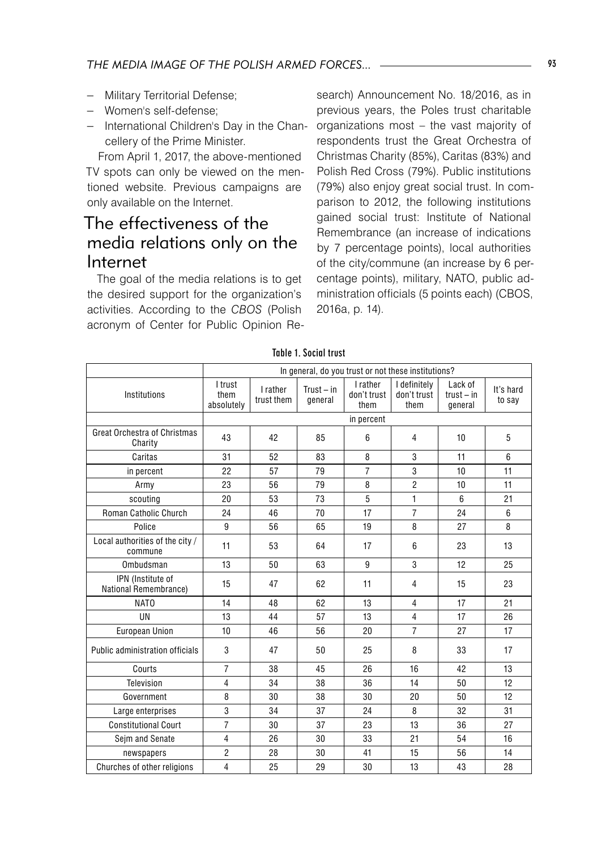- − Military Territorial Defense;
- − Women's self-defense;
- − International Children's Day in the Chancellery of the Prime Minister.

From April 1, 2017, the above-mentioned TV spots can only be viewed on the mentioned website. Previous campaigns are only available on the Internet.

## The effectiveness of the media relations only on the Internet

The goal of the media relations is to get the desired support for the organization's activities. According to the *CBOS* (Polish acronym of Center for Public Opinion Re-

search) Announcement No. 18/2016, as in previous years, the Poles trust charitable organizations most – the vast majority of respondents trust the Great Orchestra of Christmas Charity (85%), Caritas (83%) and Polish Red Cross (79%). Public institutions (79%) also enjoy great social trust. In comparison to 2012, the following institutions gained social trust: Institute of National Remembrance (an increase of indications by 7 percentage points), local authorities of the city/commune (an increase by 6 percentage points), military, NATO, public administration officials (5 points each) (CBOS, 2016a, p. 14).

|                                                | In general, do you trust or not these institutions? |                        |                         |                                 |                                     |                                    |                     |  |  |  |  |  |
|------------------------------------------------|-----------------------------------------------------|------------------------|-------------------------|---------------------------------|-------------------------------------|------------------------------------|---------------------|--|--|--|--|--|
| Institutions                                   | I trust<br>them<br>absolutely                       | I rather<br>trust them | $Trust - in$<br>general | I rather<br>don't trust<br>them | I definitely<br>don't trust<br>them | Lack of<br>$trust - in$<br>qeneral | It's hard<br>to say |  |  |  |  |  |
|                                                | in percent                                          |                        |                         |                                 |                                     |                                    |                     |  |  |  |  |  |
| <b>Great Orchestra of Christmas</b><br>Charity | 43                                                  | 42                     | 85                      | 6                               | $\overline{4}$                      | 10                                 | 5                   |  |  |  |  |  |
| Caritas                                        | 31                                                  | 52                     | 83                      | 8                               | 3                                   | 11                                 | 6                   |  |  |  |  |  |
| in percent                                     | 22                                                  | 57                     | 79                      | $\overline{7}$                  | 3                                   | 10                                 | 11                  |  |  |  |  |  |
| Army                                           | 23                                                  | 56                     | 79                      | 8                               | $\overline{2}$                      | 10                                 | 11                  |  |  |  |  |  |
| scouting                                       | 20                                                  | 53                     | 73                      | 5                               | 1                                   | 6                                  | 21                  |  |  |  |  |  |
| Roman Catholic Church                          | 24                                                  | 46                     | 70                      | 17                              | $\overline{7}$                      | 24                                 | 6                   |  |  |  |  |  |
| Police                                         | 9                                                   | 56                     | 65                      | 19                              | 8                                   | 27                                 | 8                   |  |  |  |  |  |
| Local authorities of the city /<br>commune     | 11                                                  | 53                     | 64                      | 17                              |                                     | 23                                 | 13                  |  |  |  |  |  |
| Ombudsman                                      | 13                                                  | 50                     | 63                      | 9                               | 3                                   | 12                                 | 25                  |  |  |  |  |  |
| IPN (Institute of<br>National Remembrance)     | 15                                                  | 47                     | 62                      | 11                              | $\overline{4}$                      | 15                                 | 23                  |  |  |  |  |  |
| NAT <sub>0</sub>                               | 14                                                  | 48                     | 62                      | 13                              | $\overline{4}$                      | 17                                 | 21                  |  |  |  |  |  |
| UN                                             | 13                                                  | 44                     | 57                      | 13                              | $\overline{4}$                      | 17                                 | 26                  |  |  |  |  |  |
| <b>European Union</b>                          | 10                                                  | 46                     | 56                      | 20                              | $\overline{7}$                      | 27                                 | 17                  |  |  |  |  |  |
| Public administration officials                | 3                                                   | 47                     | 50                      | 25                              | 8                                   | 33                                 | 17                  |  |  |  |  |  |
| Courts                                         | $\overline{7}$                                      | 38                     | 45                      | 26                              | 16                                  | 42                                 | 13                  |  |  |  |  |  |
| Television                                     | $\overline{4}$                                      | 34                     | 38                      | 36                              | 14                                  | 50                                 | 12                  |  |  |  |  |  |
| Government                                     | 8                                                   | 30                     | 38                      | 30                              | 20                                  | 50                                 | 12                  |  |  |  |  |  |
| Large enterprises                              | 3                                                   | 34                     | 37                      | 24                              | 8                                   | 32                                 | 31                  |  |  |  |  |  |
| <b>Constitutional Court</b>                    | $\overline{7}$                                      | 30                     | 37                      | 23                              | 13                                  | 36                                 | 27                  |  |  |  |  |  |
| Sejm and Senate                                | $\overline{4}$                                      | 26                     | 30                      | 33                              | 21                                  | 54                                 | 16                  |  |  |  |  |  |
| newspapers                                     | $\overline{2}$                                      | 28                     | 30                      | 41                              | 15                                  | 56                                 | 14                  |  |  |  |  |  |
| Churches of other religions                    | $\overline{4}$                                      | 25                     | 29                      | 30                              | 13                                  | 43                                 | 28                  |  |  |  |  |  |

Table 1. Social trust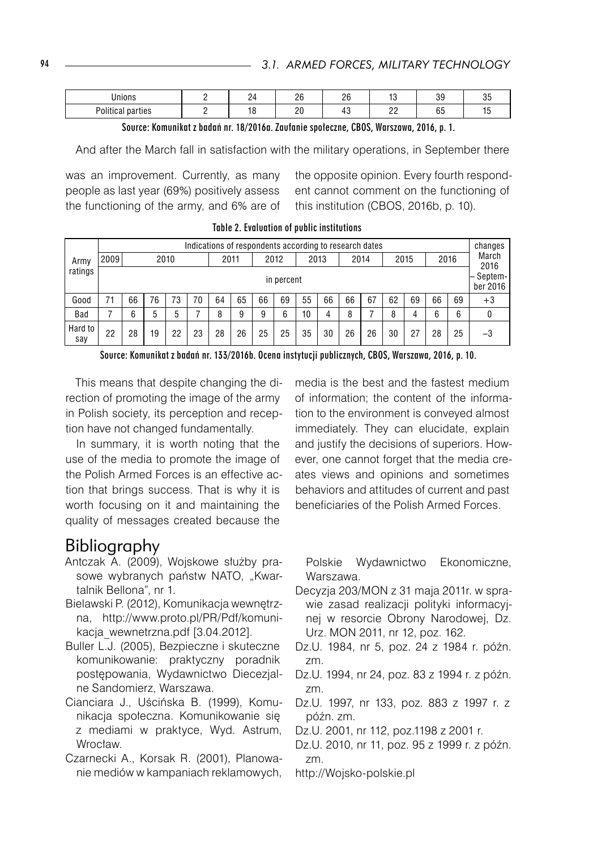| .<br>محتملا                           |  | $\sim$ | $\sim$ | $\cdot$             | $\sim$<br>       |  |
|---------------------------------------|--|--------|--------|---------------------|------------------|--|
| $P = 1111$<br>$\cdots$<br>ues<br>∽un. |  | nn     |        | $\sim$<br>ے ت<br>-- | $\sim$ $-$<br>ບພ |  |

Source: Komunikat z badań nr. 18/2016a. Zaufanie społeczne, CBOS, Warszawa, 2016, p. 1.

And after the March fall in satisfaction with the military operations, in September there

was an improvement. Currently, as many people as last year (69%) positively assess the functioning of the army, and 6% are of

the opposite opinion. Every fourth respondent cannot comment on the functioning of this institution (CBOS, 2016b, p. 10).

|                | Indications of respondents according to research dates |      |    |    |      |    |    |      |      |    |      |    |      |                     |      | changes |               |      |
|----------------|--------------------------------------------------------|------|----|----|------|----|----|------|------|----|------|----|------|---------------------|------|---------|---------------|------|
| Army           | 2009                                                   | 2010 |    |    | 2011 |    |    | 2012 | 2013 |    | 2014 |    | 2015 |                     | 2016 |         | March<br>2016 |      |
| ratings        | in percent                                             |      |    |    |      |    |    |      |      |    |      |    |      | Septem-<br>ber 2016 |      |         |               |      |
| Good           | 71                                                     | 66   | 76 | 73 | 70   | 64 | 65 | 66   | 69   | 55 | 66   | 66 | 67   | 62                  | 69   | 66      | 69            | $+3$ |
| Bad            |                                                        | 6    | 5  | 5  |      | 8  | 9  | 9    | 6    | 10 | 4    | 8  |      | 8                   | 4    | 6       | 6             | 0    |
| Hard to<br>say | 22                                                     | 28   | 19 | 22 | 23   | 28 | 26 | 25   | 25   | 35 | 30   | 26 | 26   | 30                  | 27   | 28      | 25            | $-3$ |

Table 2. Evaluation of public institutions

Source: Komunikat z badań nr. 133/2016b. Ocena instytucji publicznych, CBOS, Warszawa, 2016, p. 10.

This means that despite changing the direction of promoting the image of the army in Polish society, its perception and reception have not changed fundamentally.

In summary, it is worth noting that the use of the media to promote the image of the Polish Armed Forces is an effective action that brings success. That is why it is worth focusing on it and maintaining the quality of messages created because the

## Bibliography

- Antczak A. (2009), Wojskowe służby prasowe wybranych państw NATO, "Kwartalnik Bellona", nr 1.
- Bielawski P. (2012), Komunikacja wewnętrzna, http://www.proto.pl/PR/Pdf/komunikacja\_wewnetrzna.pdf [3.04.2012].
- Buller L.J. (2005), Bezpieczne i skuteczne komunikowanie: praktyczny poradnik postępowania, Wydawnictwo Diecezjalne Sandomierz, Warszawa.
- Cianciara J., Uścińska B. (1999), Komunikacja społeczna. Komunikowanie się z mediami w praktyce, Wyd. Astrum, Wrocław.
- Czarnecki A., Korsak R. (2001), Planowanie mediów w kampaniach reklamowych,

media is the best and the fastest medium of information; the content of the information to the environment is conveyed almost immediately. They can elucidate, explain and justify the decisions of superiors. However, one cannot forget that the media creates views and opinions and sometimes behaviors and attitudes of current and past beneficiaries of the Polish Armed Forces.

Polskie Wydawnictwo Ekonomiczne, Warszawa.

- Decyzja 203/MON z 31 maja 2011r. w sprawie zasad realizacji polityki informacyjnej w resorcie Obrony Narodowej, Dz. Urz. MON 2011, nr 12, poz. 162.
- Dz.U. 1984, nr 5, poz. 24 z 1984 r. późn. zm.
- Dz.U. 1994, nr 24, poz. 83 z 1994 r. z późn. zm.
- Dz.U. 1997, nr 133, poz. 883 z 1997 r. z późn. zm.
- Dz.U. 2001, nr 112, poz.1198 z 2001 r.
- Dz.U. 2010, nr 11, poz. 95 z 1999 r. z późn. zm.
- http://Wojsko-polskie.pl